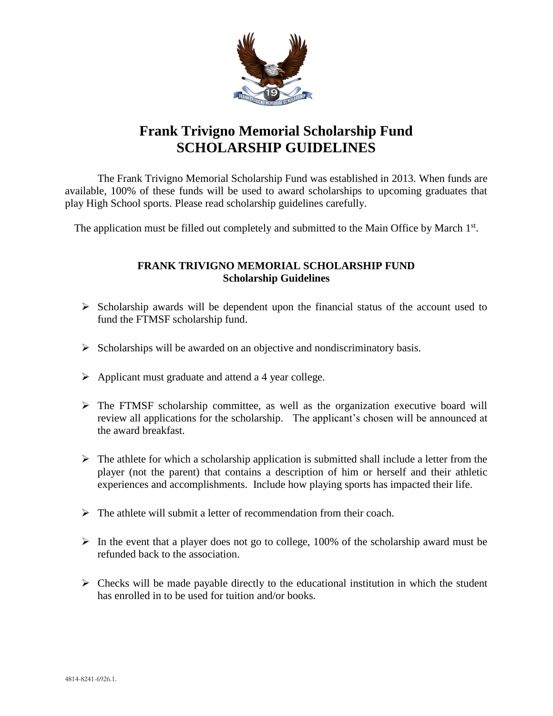

## **Frank Trivigno Memorial Scholarship Fund SCHOLARSHIP GUIDELINES**

The Frank Trivigno Memorial Scholarship Fund was established in 2013. When funds are available, 100% of these funds will be used to award scholarships to upcoming graduates that play High School sports. Please read scholarship guidelines carefully.

The application must be filled out completely and submitted to the Main Office by March 1st.

## **FRANK TRIVIGNO MEMORIAL SCHOLARSHIP FUND Scholarship Guidelines**

- $\triangleright$  Scholarship awards will be dependent upon the financial status of the account used to fund the FTMSF scholarship fund.
- $\triangleright$  Scholarships will be awarded on an objective and nondiscriminatory basis.
- $\triangleright$  Applicant must graduate and attend a 4 year college.
- The FTMSF scholarship committee, as well as the organization executive board will review all applications for the scholarship. The applicant's chosen will be announced at the award breakfast.
- $\triangleright$  The athlete for which a scholarship application is submitted shall include a letter from the player (not the parent) that contains a description of him or herself and their athletic experiences and accomplishments. Include how playing sports has impacted their life.
- $\triangleright$  The athlete will submit a letter of recommendation from their coach.
- $\triangleright$  In the event that a player does not go to college, 100% of the scholarship award must be refunded back to the association.
- $\triangleright$  Checks will be made payable directly to the educational institution in which the student has enrolled in to be used for tuition and/or books.